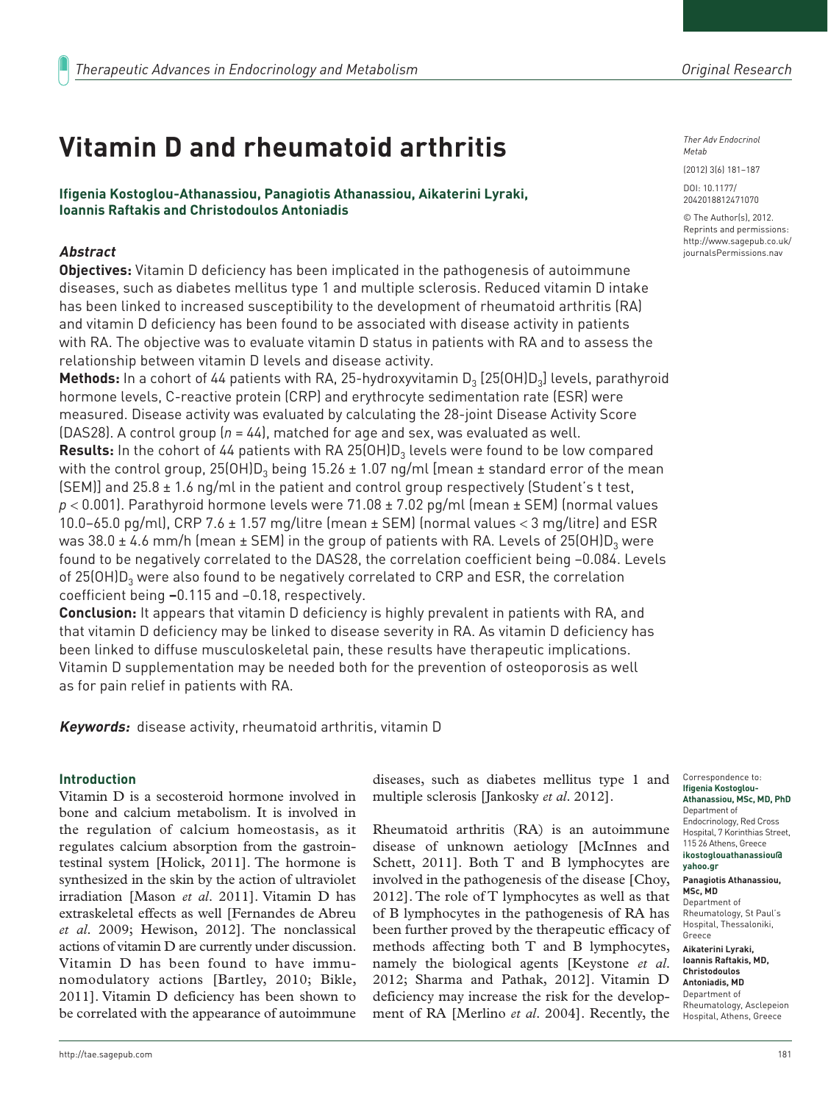# **Vitamin D and rheumatoid arthritis**

**Ifigenia Kostoglou-Athanassiou, Panagiotis Athanassiou, Aikaterini Lyraki, Ioannis Raftakis and Christodoulos Antoniadis**

## **Abstract**

**Objectives:** Vitamin D deficiency has been implicated in the pathogenesis of autoimmune diseases, such as diabetes mellitus type 1 and multiple sclerosis. Reduced vitamin D intake has been linked to increased susceptibility to the development of rheumatoid arthritis (RA) and vitamin D deficiency has been found to be associated with disease activity in patients with RA. The objective was to evaluate vitamin D status in patients with RA and to assess the relationship between vitamin D levels and disease activity.

**Methods:** In a cohort of 44 patients with RA, 25-hydroxyvitamin D<sub>3</sub> [25(OH)D<sub>3</sub>] levels, parathyroid hormone levels, C-reactive protein (CRP) and erythrocyte sedimentation rate (ESR) were measured. Disease activity was evaluated by calculating the 28-joint Disease Activity Score (DAS28). A control group (*n* = 44), matched for age and sex, was evaluated as well. **Results:** In the cohort of 44 patients with RA 25(OH)D<sub>3</sub> levels were found to be low compared with the control group,  $25(OH)D_3$  being 15.26  $\pm$  1.07 ng/ml [mean  $\pm$  standard error of the mean  $[SEM]$  and 25.8  $\pm$  1.6 ng/ml in the patient and control group respectively (Student's t test, *p* < 0.001). Parathyroid hormone levels were 71.08 ± 7.02 pg/ml (mean ± SEM) (normal values 10.0–65.0 pg/ml), CRP 7.6  $\pm$  1.57 mg/litre (mean  $\pm$  SEM) (normal values < 3 mg/litre) and ESR was 38.0  $\pm$  4.6 mm/h (mean  $\pm$  SEM) in the group of patients with RA. Levels of 25(OH)D<sub>3</sub> were found to be negatively correlated to the DAS28, the correlation coefficient being −0.084. Levels of 25(OH) $D_3$  were also found to be negatively correlated to CRP and ESR, the correlation coefficient being **–**0.115 and −0.18, respectively.

**Conclusion:** It appears that vitamin D deficiency is highly prevalent in patients with RA, and that vitamin D deficiency may be linked to disease severity in RA. As vitamin D deficiency has been linked to diffuse musculoskeletal pain, these results have therapeutic implications. Vitamin D supplementation may be needed both for the prevention of osteoporosis as well as for pain relief in patients with RA.

**Keywords:** disease activity, rheumatoid arthritis, vitamin D

## **Introduction**

Vitamin D is a secosteroid hormone involved in bone and calcium metabolism. It is involved in the regulation of calcium homeostasis, as it regulates calcium absorption from the gastrointestinal system [Holick, 2011]. The hormone is synthesized in the skin by the action of ultraviolet irradiation [Mason *et al*. 2011]. Vitamin D has extraskeletal effects as well [Fernandes de Abreu *et al*. 2009; Hewison, 2012]. The nonclassical actions of vitamin D are currently under discussion. Vitamin D has been found to have immunomodulatory actions [Bartley, 2010; Bikle, 2011]. Vitamin D deficiency has been shown to be correlated with the appearance of autoimmune

diseases, such as diabetes mellitus type 1 and multiple sclerosis [Jankosky *et al*. 2012].

Rheumatoid arthritis (RA) is an autoimmune disease of unknown aetiology [McInnes and Schett, 2011]. Both T and B lymphocytes are involved in the pathogenesis of the disease [Choy, 2012]. The role of T lymphocytes as well as that of B lymphocytes in the pathogenesis of RA has been further proved by the therapeutic efficacy of methods affecting both T and B lymphocytes, namely the biological agents [Keystone *et al*. 2012; Sharma and Pathak, 2012]. Vitamin D deficiency may increase the risk for the development of RA [Merlino *et al*. 2004]. Recently, the

*Ther Adv Endocrinol Metab*

(2012) 3(6) 181–187

DOI: 10.1177/ 2042018812471070

© The Author(s), 2012. Reprints and permissions: http://www.sagepub.co.uk/ journalsPermissions.nav

**Ifigenia Kostoglou-Athanassiou, MSc, MD, PhD** Department of Endocrinology, Red Cross Hospital, 7 Korinthias Street, 115 26 Athens, Greece **ikostoglouathanassiou@ yahoo.gr Panagiotis Athanassiou, MSc, MD**  Department of Rheumatology, St Paul's Hospital, Thessaloniki, Greece **Aikaterini Lyraki, Ioannis Raftakis, MD, Christodoulos** 

**Antoniadis, MD** Department of Rheumatology, Asclepeion Hospital, Athens, Greece

Correspondence to: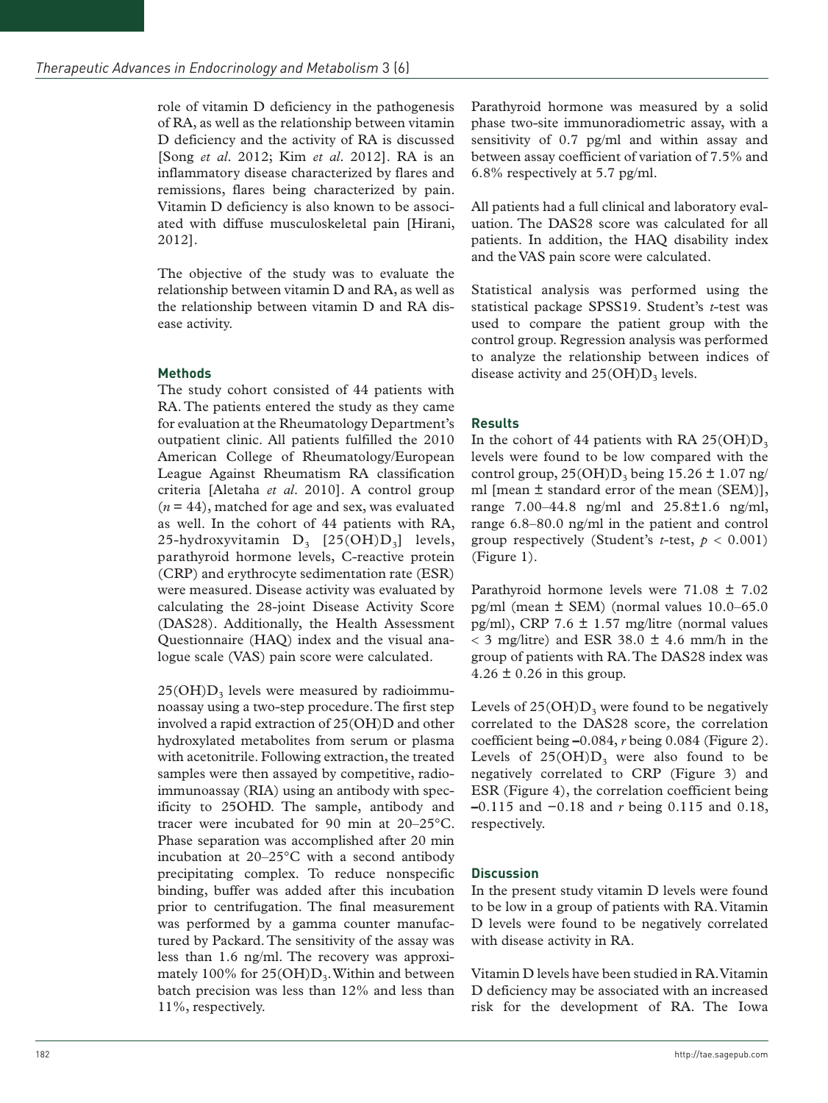role of vitamin D deficiency in the pathogenesis of RA, as well as the relationship between vitamin D deficiency and the activity of RA is discussed [Song *et al*. 2012; Kim *et al*. 2012]. RA is an inflammatory disease characterized by flares and remissions, flares being characterized by pain. Vitamin D deficiency is also known to be associated with diffuse musculoskeletal pain [Hirani, 2012].

The objective of the study was to evaluate the relationship between vitamin D and RA, as well as the relationship between vitamin D and RA disease activity.

## **Methods**

The study cohort consisted of 44 patients with RA. The patients entered the study as they came for evaluation at the Rheumatology Department's outpatient clinic. All patients fulfilled the 2010 American College of Rheumatology/European League Against Rheumatism RA classification criteria [Aletaha *et al*. 2010]. A control group (*n* = 44), matched for age and sex, was evaluated as well. In the cohort of 44 patients with RA, 25-hydroxyvitamin  $D_3$  [25(OH) $D_3$ ] levels, parathyroid hormone levels, C-reactive protein (CRP) and erythrocyte sedimentation rate (ESR) were measured. Disease activity was evaluated by calculating the 28-joint Disease Activity Score (DAS28). Additionally, the Health Assessment Questionnaire (HAQ) index and the visual analogue scale (VAS) pain score were calculated.

 $25(OH)D<sub>3</sub>$  levels were measured by radioimmunoassay using a two-step procedure. The first step involved a rapid extraction of 25(OH)D and other hydroxylated metabolites from serum or plasma with acetonitrile. Following extraction, the treated samples were then assayed by competitive, radioimmunoassay (RIA) using an antibody with specificity to 25OHD. The sample, antibody and tracer were incubated for 90 min at 20–25°C. Phase separation was accomplished after 20 min incubation at 20–25°C with a second antibody precipitating complex. To reduce nonspecific binding, buffer was added after this incubation prior to centrifugation. The final measurement was performed by a gamma counter manufactured by Packard. The sensitivity of the assay was less than 1.6 ng/ml. The recovery was approximately 100% for  $25(OH)D<sub>3</sub>$ . Within and between batch precision was less than 12% and less than 11%, respectively.

Parathyroid hormone was measured by a solid phase two-site immunoradiometric assay, with a sensitivity of 0.7 pg/ml and within assay and between assay coefficient of variation of 7.5% and 6.8% respectively at 5.7 pg/ml.

All patients had a full clinical and laboratory evaluation. The DAS28 score was calculated for all patients. In addition, the HAQ disability index and the VAS pain score were calculated.

Statistical analysis was performed using the statistical package SPSS19. Student's *t*-test was used to compare the patient group with the control group. Regression analysis was performed to analyze the relationship between indices of disease activity and  $25(OH)D<sub>3</sub>$  levels.

## **Results**

In the cohort of 44 patients with RA  $25(OH)D<sub>3</sub>$ levels were found to be low compared with the control group,  $25(OH)D_3$  being  $15.26 \pm 1.07$  ng/ ml [mean ± standard error of the mean (SEM)], range 7.00–44.8 ng/ml and 25.8±1.6 ng/ml, range 6.8–80.0 ng/ml in the patient and control group respectively (Student's *t*-test,  $p < 0.001$ ) (Figure 1).

Parathyroid hormone levels were 71.08 ± 7.02 pg/ml (mean  $\pm$  SEM) (normal values 10.0–65.0 pg/ml), CRP 7.6  $\pm$  1.57 mg/litre (normal values  $<$  3 mg/litre) and ESR 38.0  $\pm$  4.6 mm/h in the group of patients with RA. The DAS28 index was  $4.26 \pm 0.26$  in this group.

Levels of  $25(OH)D_3$  were found to be negatively correlated to the DAS28 score, the correlation coefficient being **–**0.084, *r* being 0.084 (Figure 2). Levels of  $25(OH)D_3$  were also found to be negatively correlated to CRP (Figure 3) and ESR (Figure 4), the correlation coefficient being **–**0.115 and −0.18 and *r* being 0.115 and 0.18, respectively.

### **Discussion**

In the present study vitamin D levels were found to be low in a group of patients with RA. Vitamin D levels were found to be negatively correlated with disease activity in RA.

Vitamin D levels have been studied in RA. Vitamin D deficiency may be associated with an increased risk for the development of RA. The Iowa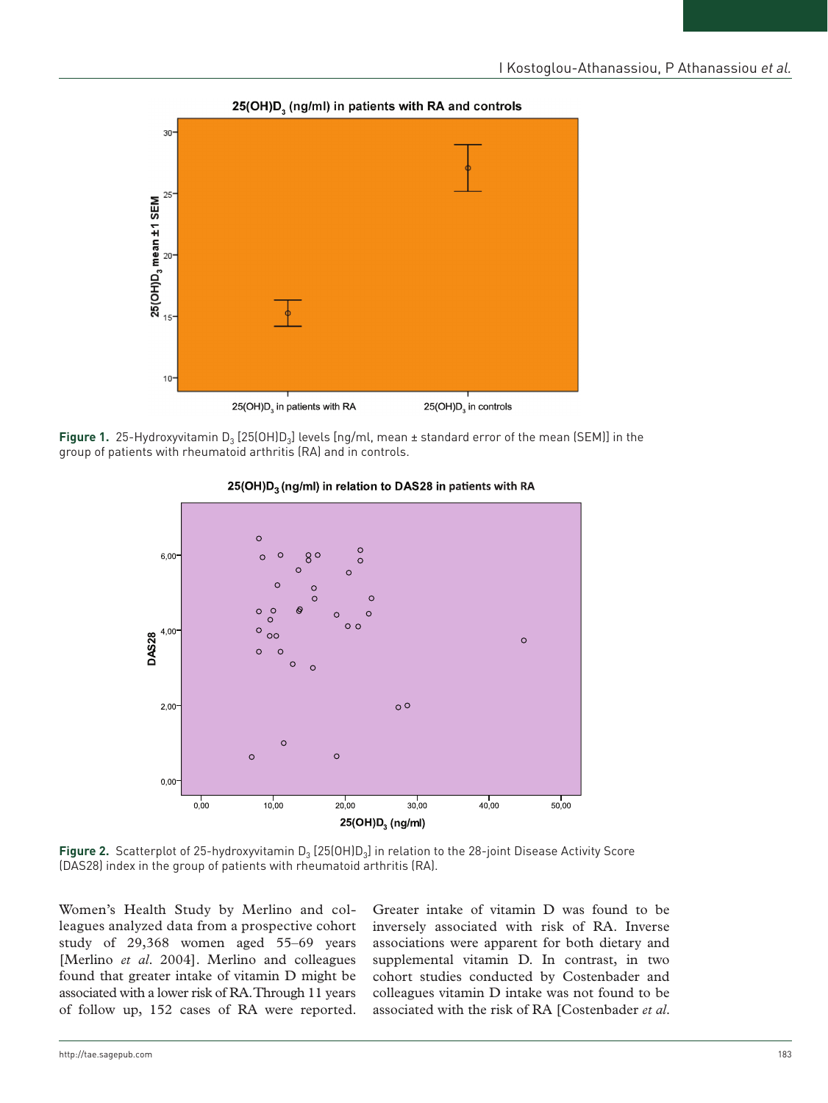

#### 25(OH)D. (ng/ml) in patients with RA and controls





#### 25(OH)D<sub>3</sub> (ng/ml) in relation to DAS28 in patients with RA

Figure 2. Scatterplot of 25-hydroxyvitamin D<sub>3</sub> [25(OH)D<sub>3</sub>] in relation to the 28-joint Disease Activity Score (DAS28) index in the group of patients with rheumatoid arthritis (RA).

Women's Health Study by Merlino and colleagues analyzed data from a prospective cohort study of 29,368 women aged 55–69 years [Merlino *et al*. 2004]. Merlino and colleagues found that greater intake of vitamin D might be associated with a lower risk of RA. Through 11 years of follow up, 152 cases of RA were reported. Greater intake of vitamin D was found to be inversely associated with risk of RA. Inverse associations were apparent for both dietary and supplemental vitamin D. In contrast, in two cohort studies conducted by Costenbader and colleagues vitamin D intake was not found to be associated with the risk of RA [Costenbader *et al*.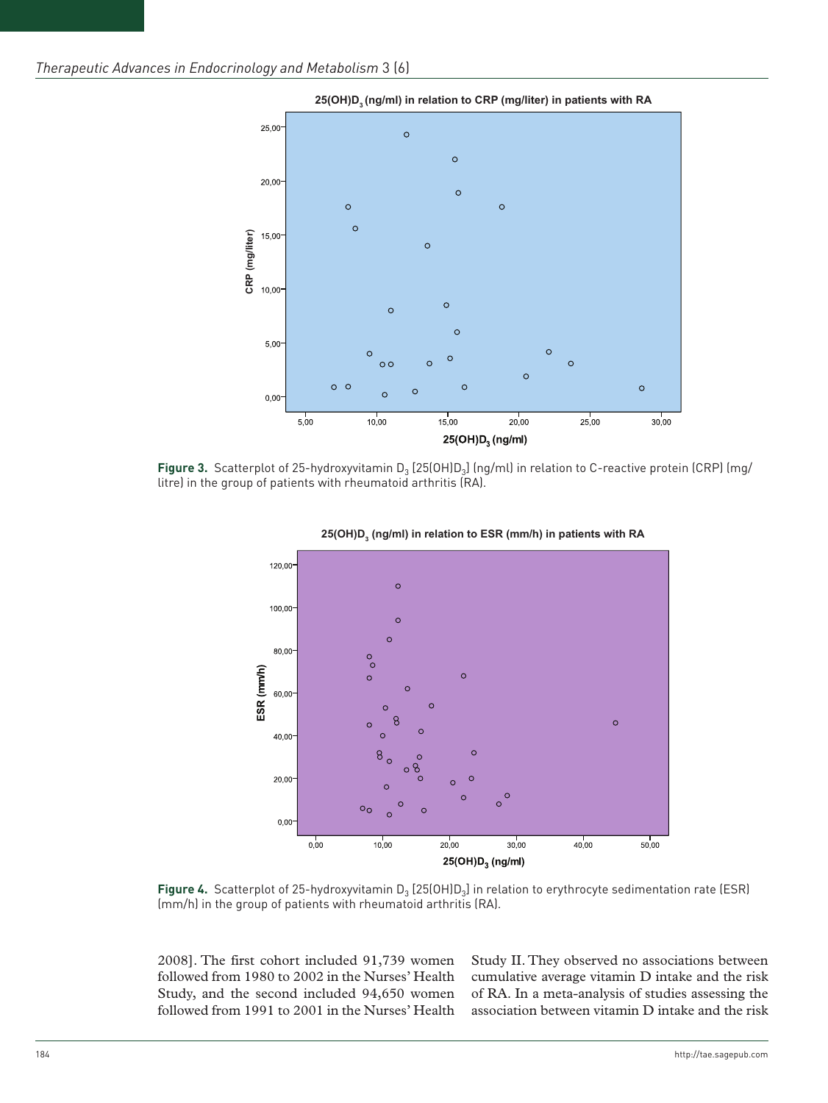

Figure 3. Scatterplot of 25-hydroxyvitamin D<sub>3</sub> [25(OH)D<sub>3</sub>] (ng/ml) in relation to C-reactive protein (CRP) (mg/ litre) in the group of patients with rheumatoid arthritis (RA).





Figure 4. Scatterplot of 25-hydroxyvitamin D<sub>3</sub> [25(OH)D<sub>3</sub>] in relation to erythrocyte sedimentation rate (ESR) (mm/h) in the group of patients with rheumatoid arthritis (RA).

2008]. The first cohort included 91,739 women followed from 1980 to 2002 in the Nurses' Health Study, and the second included 94,650 women followed from 1991 to 2001 in the Nurses' Health Study II. They observed no associations between cumulative average vitamin D intake and the risk of RA. In a meta-analysis of studies assessing the association between vitamin D intake and the risk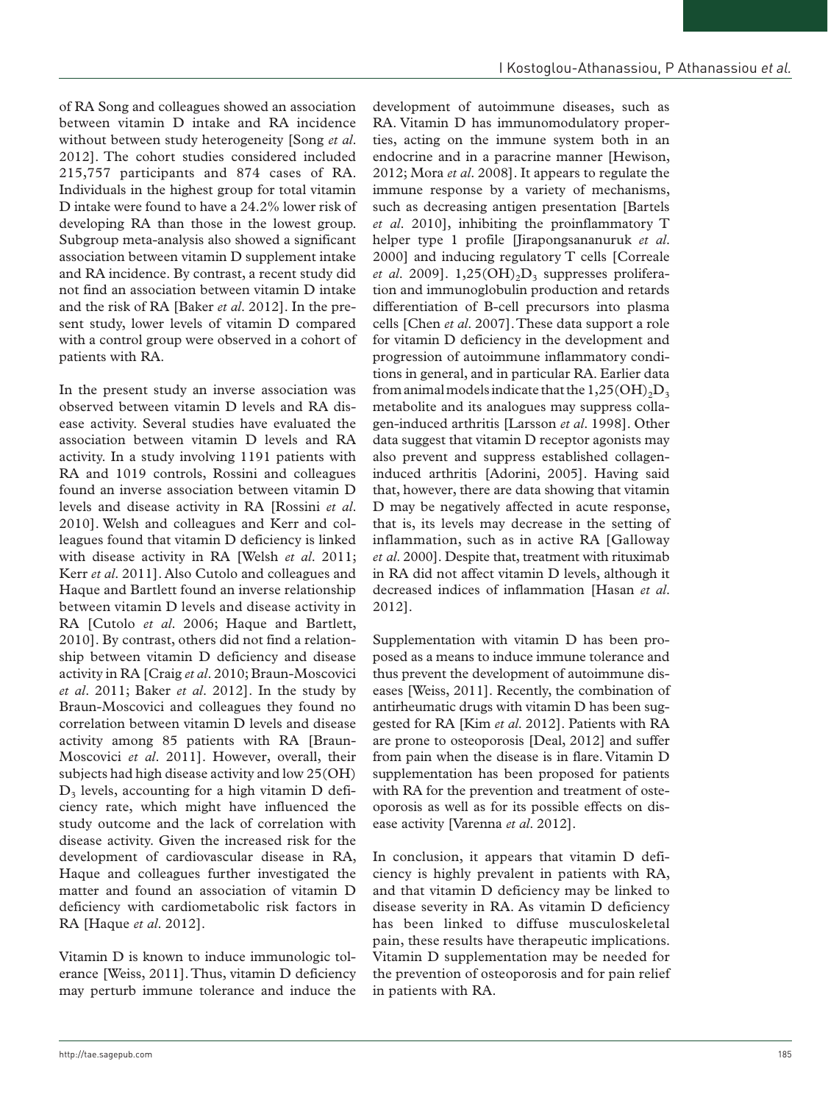of RA Song and colleagues showed an association between vitamin D intake and RA incidence without between study heterogeneity [Song *et al*. 2012]. The cohort studies considered included 215,757 participants and 874 cases of RA. Individuals in the highest group for total vitamin D intake were found to have a 24.2% lower risk of developing RA than those in the lowest group. Subgroup meta-analysis also showed a significant association between vitamin D supplement intake and RA incidence. By contrast, a recent study did not find an association between vitamin D intake and the risk of RA [Baker *et al*. 2012]. In the present study, lower levels of vitamin D compared with a control group were observed in a cohort of patients with RA.

In the present study an inverse association was observed between vitamin D levels and RA disease activity. Several studies have evaluated the association between vitamin D levels and RA activity. In a study involving 1191 patients with RA and 1019 controls, Rossini and colleagues found an inverse association between vitamin D levels and disease activity in RA [Rossini *et al*. 2010]. Welsh and colleagues and Kerr and colleagues found that vitamin D deficiency is linked with disease activity in RA [Welsh *et al*. 2011; Kerr *et al*. 2011]. Also Cutolo and colleagues and Haque and Bartlett found an inverse relationship between vitamin D levels and disease activity in RA [Cutolo *et al*. 2006; Haque and Bartlett, 2010]. By contrast, others did not find a relationship between vitamin D deficiency and disease activity in RA [Craig *et al*. 2010; Braun-Moscovici *et al*. 2011; Baker *et al*. 2012]. In the study by Braun-Moscovici and colleagues they found no correlation between vitamin D levels and disease activity among 85 patients with RA [Braun-Moscovici *et al*. 2011]. However, overall, their subjects had high disease activity and low 25(OH)  $D_3$  levels, accounting for a high vitamin D deficiency rate, which might have influenced the study outcome and the lack of correlation with disease activity. Given the increased risk for the development of cardiovascular disease in RA, Haque and colleagues further investigated the matter and found an association of vitamin D deficiency with cardiometabolic risk factors in RA [Haque *et al*. 2012].

Vitamin D is known to induce immunologic tolerance [Weiss, 2011]. Thus, vitamin D deficiency may perturb immune tolerance and induce the

development of autoimmune diseases, such as RA. Vitamin D has immunomodulatory properties, acting on the immune system both in an endocrine and in a paracrine manner [Hewison, 2012; Mora *et al*. 2008]. It appears to regulate the immune response by a variety of mechanisms, such as decreasing antigen presentation [Bartels *et al*. 2010], inhibiting the proinflammatory T helper type 1 profile [Jirapongsananuruk *et al*. 2000] and inducing regulatory T cells [Correale *et al.* 2009].  $1,25(OH)_{2}D_{3}$  suppresses proliferation and immunoglobulin production and retards differentiation of B-cell precursors into plasma cells [Chen *et al*. 2007]. These data support a role for vitamin D deficiency in the development and progression of autoimmune inflammatory conditions in general, and in particular RA. Earlier data from animal models indicate that the  $1,25(OH)_{2}D_{3}$ metabolite and its analogues may suppress collagen-induced arthritis [Larsson *et al*. 1998]. Other data suggest that vitamin D receptor agonists may also prevent and suppress established collageninduced arthritis [Adorini, 2005]. Having said that, however, there are data showing that vitamin D may be negatively affected in acute response, that is, its levels may decrease in the setting of inflammation, such as in active RA [Galloway *et al*. 2000]. Despite that, treatment with rituximab in RA did not affect vitamin D levels, although it decreased indices of inflammation [Hasan *et al*. 2012].

Supplementation with vitamin D has been proposed as a means to induce immune tolerance and thus prevent the development of autoimmune diseases [Weiss, 2011]. Recently, the combination of antirheumatic drugs with vitamin D has been suggested for RA [Kim *et al*. 2012]. Patients with RA are prone to osteoporosis [Deal, 2012] and suffer from pain when the disease is in flare. Vitamin D supplementation has been proposed for patients with RA for the prevention and treatment of osteoporosis as well as for its possible effects on disease activity [Varenna *et al*. 2012].

In conclusion, it appears that vitamin D deficiency is highly prevalent in patients with RA, and that vitamin D deficiency may be linked to disease severity in RA. As vitamin D deficiency has been linked to diffuse musculoskeletal pain, these results have therapeutic implications. Vitamin D supplementation may be needed for the prevention of osteoporosis and for pain relief in patients with RA.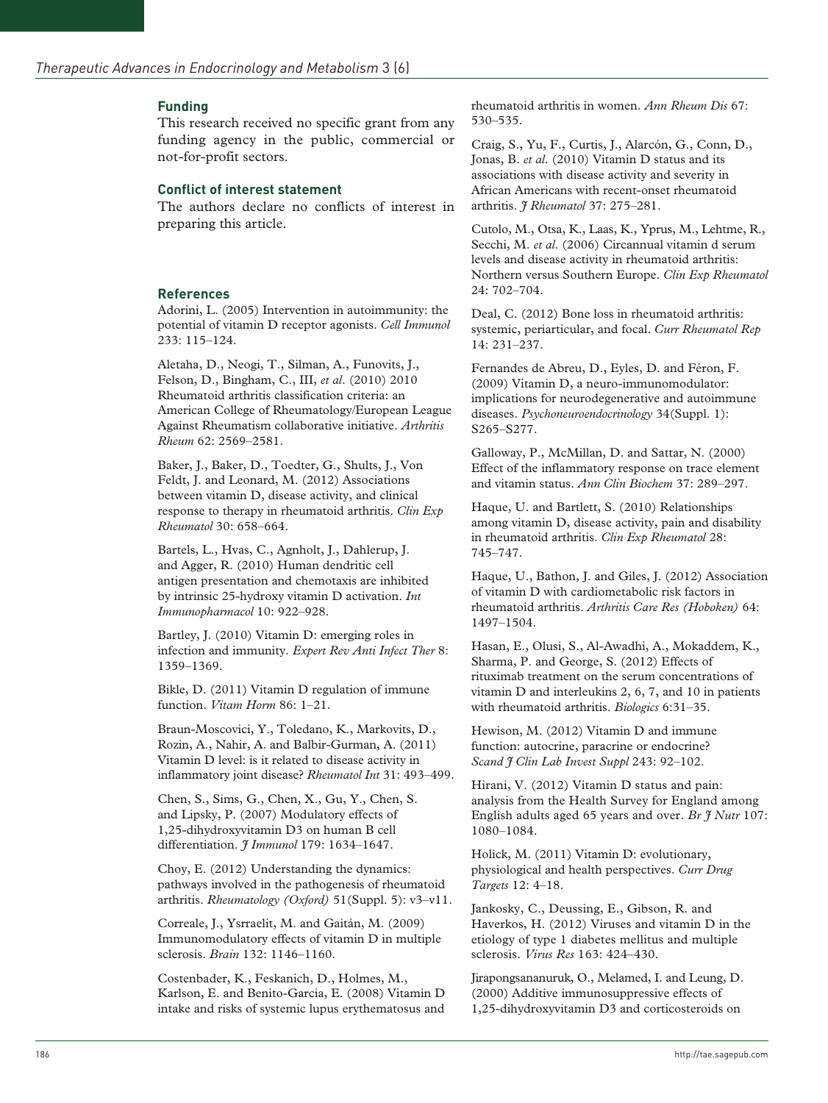#### **Funding**

This research received no specific grant from any funding agency in the public, commercial or not-for-profit sectors.

#### **Conflict of interest statement**

The authors declare no conflicts of interest in preparing this article.

#### **References**

Adorini, L. (2005) Intervention in autoimmunity: the potential of vitamin D receptor agonists. *Cell Immunol* 233: 115–124.

Aletaha, D., Neogi, T., Silman, A., Funovits, J., Felson, D., Bingham, C., III, *et al*. (2010) 2010 Rheumatoid arthritis classification criteria: an American College of Rheumatology/European League Against Rheumatism collaborative initiative. *Arthritis Rheum* 62: 2569–2581.

Baker, J., Baker, D., Toedter, G., Shults, J., Von Feldt, J. and Leonard, M. (2012) Associations between vitamin D, disease activity, and clinical response to therapy in rheumatoid arthritis. *Clin Exp Rheumatol* 30: 658–664.

Bartels, L., Hvas, C., Agnholt, J., Dahlerup, J. and Agger, R. (2010) Human dendritic cell antigen presentation and chemotaxis are inhibited by intrinsic 25-hydroxy vitamin D activation. *Int Immunopharmacol* 10: 922–928.

Bartley, J. (2010) Vitamin D: emerging roles in infection and immunity. *Expert Rev Anti Infect Ther* 8: 1359–1369.

Bikle, D. (2011) Vitamin D regulation of immune function. *Vitam Horm* 86: 1–21.

Braun-Moscovici, Y., Toledano, K., Markovits, D., Rozin, A., Nahir, A. and Balbir-Gurman, A. (2011) Vitamin D level: is it related to disease activity in inflammatory joint disease? *Rheumatol Int* 31: 493–499.

Chen, S., Sims, G., Chen, X., Gu, Y., Chen, S. and Lipsky, P. (2007) Modulatory effects of 1,25-dihydroxyvitamin D3 on human B cell differentiation. *J Immunol* 179: 1634–1647.

Choy, E. (2012) Understanding the dynamics: pathways involved in the pathogenesis of rheumatoid arthritis. *Rheumatology (Oxford)* 51(Suppl. 5): v3–v11.

Correale, J., Ysrraelit, M. and Gaitán, M. (2009) Immunomodulatory effects of vitamin D in multiple sclerosis. *Brain* 132: 1146–1160.

Costenbader, K., Feskanich, D., Holmes, M., Karlson, E. and Benito-Garcia, E. (2008) Vitamin D intake and risks of systemic lupus erythematosus and rheumatoid arthritis in women. *Ann Rheum Dis* 67: 530–535.

Craig, S., Yu, F., Curtis, J., Alarcón, G., Conn, D., Jonas, B. *et al*. (2010) Vitamin D status and its associations with disease activity and severity in African Americans with recent-onset rheumatoid arthritis. *J Rheumatol* 37: 275–281.

Cutolo, M., Otsa, K., Laas, K., Yprus, M., Lehtme, R., Secchi, M. *et al*. (2006) Circannual vitamin d serum levels and disease activity in rheumatoid arthritis: Northern versus Southern Europe. *Clin Exp Rheumatol* 24: 702–704.

Deal, C. (2012) Bone loss in rheumatoid arthritis: systemic, periarticular, and focal. *Curr Rheumatol Rep* 14: 231–237.

Fernandes de Abreu, D., Eyles, D. and Féron, F. (2009) Vitamin D, a neuro-immunomodulator: implications for neurodegenerative and autoimmune diseases. *Psychoneuroendocrinology* 34(Suppl. 1): S265–S277.

Galloway, P., McMillan, D. and Sattar, N. (2000) Effect of the inflammatory response on trace element and vitamin status. *Ann Clin Biochem* 37: 289–297.

Haque, U. and Bartlett, S. (2010) Relationships among vitamin D, disease activity, pain and disability in rheumatoid arthritis. *Clin Exp Rheumatol* 28: 745–747.

Haque, U., Bathon, J. and Giles, J. (2012) Association of vitamin D with cardiometabolic risk factors in rheumatoid arthritis. *Arthritis Care Res (Hoboken)* 64: 1497–1504.

Hasan, E., Olusi, S., Al-Awadhi, A., Mokaddem, K., Sharma, P. and George, S. (2012) Effects of rituximab treatment on the serum concentrations of vitamin D and interleukins 2, 6, 7, and 10 in patients with rheumatoid arthritis. *Biologics* 6:31–35.

Hewison, M. (2012) Vitamin D and immune function: autocrine, paracrine or endocrine? *Scand J Clin Lab Invest Suppl* 243: 92–102.

Hirani, V. (2012) Vitamin D status and pain: analysis from the Health Survey for England among English adults aged 65 years and over. *Br J Nutr* 107: 1080–1084.

Holick, M. (2011) Vitamin D: evolutionary, physiological and health perspectives. *Curr Drug Targets* 12: 4–18.

Jankosky, C., Deussing, E., Gibson, R. and Haverkos, H. (2012) Viruses and vitamin D in the etiology of type 1 diabetes mellitus and multiple sclerosis. *Virus Res* 163: 424–430.

Jirapongsananuruk, O., Melamed, I. and Leung, D. (2000) Additive immunosuppressive effects of 1,25-dihydroxyvitamin D3 and corticosteroids on